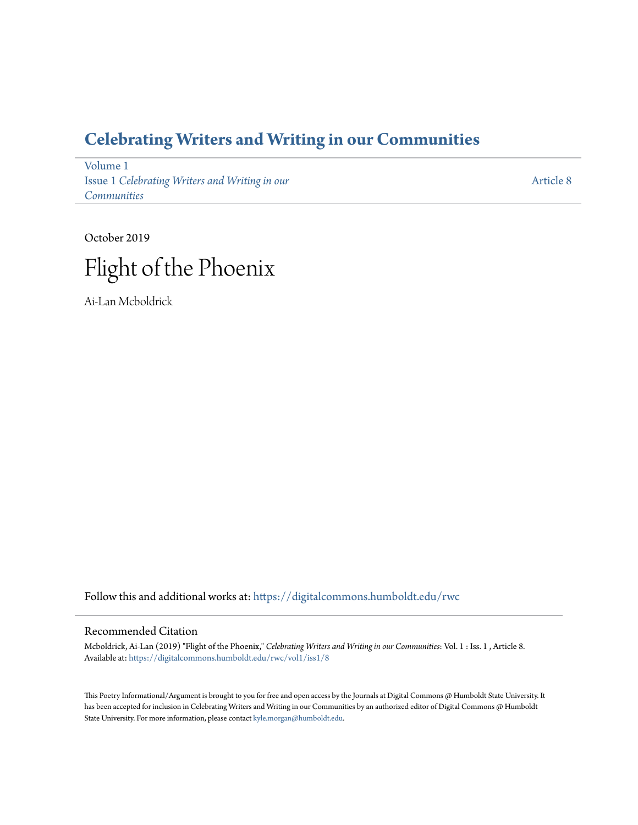## **[Celebrating Writers and Writing in our Communities](https://digitalcommons.humboldt.edu/rwc?utm_source=digitalcommons.humboldt.edu%2Frwc%2Fvol1%2Fiss1%2F8&utm_medium=PDF&utm_campaign=PDFCoverPages)**

[Volume 1](https://digitalcommons.humboldt.edu/rwc/vol1?utm_source=digitalcommons.humboldt.edu%2Frwc%2Fvol1%2Fiss1%2F8&utm_medium=PDF&utm_campaign=PDFCoverPages) Issue 1 *[Celebrating Writers and Writing in our](https://digitalcommons.humboldt.edu/rwc/vol1/iss1?utm_source=digitalcommons.humboldt.edu%2Frwc%2Fvol1%2Fiss1%2F8&utm_medium=PDF&utm_campaign=PDFCoverPages) [Communities](https://digitalcommons.humboldt.edu/rwc/vol1/iss1?utm_source=digitalcommons.humboldt.edu%2Frwc%2Fvol1%2Fiss1%2F8&utm_medium=PDF&utm_campaign=PDFCoverPages)*

[Article 8](https://digitalcommons.humboldt.edu/rwc/vol1/iss1/8?utm_source=digitalcommons.humboldt.edu%2Frwc%2Fvol1%2Fiss1%2F8&utm_medium=PDF&utm_campaign=PDFCoverPages)

October 2019 Flight of the Phoenix

Ai-Lan Mcboldrick

Follow this and additional works at: [https://digitalcommons.humboldt.edu/rwc](https://digitalcommons.humboldt.edu/rwc?utm_source=digitalcommons.humboldt.edu%2Frwc%2Fvol1%2Fiss1%2F8&utm_medium=PDF&utm_campaign=PDFCoverPages)

## Recommended Citation

Mcboldrick, Ai-Lan (2019) "Flight of the Phoenix," *Celebrating Writers and Writing in our Communities*: Vol. 1 : Iss. 1 , Article 8. Available at: [https://digitalcommons.humboldt.edu/rwc/vol1/iss1/8](https://digitalcommons.humboldt.edu/rwc/vol1/iss1/8?utm_source=digitalcommons.humboldt.edu%2Frwc%2Fvol1%2Fiss1%2F8&utm_medium=PDF&utm_campaign=PDFCoverPages)

This Poetry Informational/Argument is brought to you for free and open access by the Journals at Digital Commons @ Humboldt State University. It has been accepted for inclusion in Celebrating Writers and Writing in our Communities by an authorized editor of Digital Commons @ Humboldt State University. For more information, please contact [kyle.morgan@humboldt.edu](mailto:kyle.morgan@humboldt.edu).